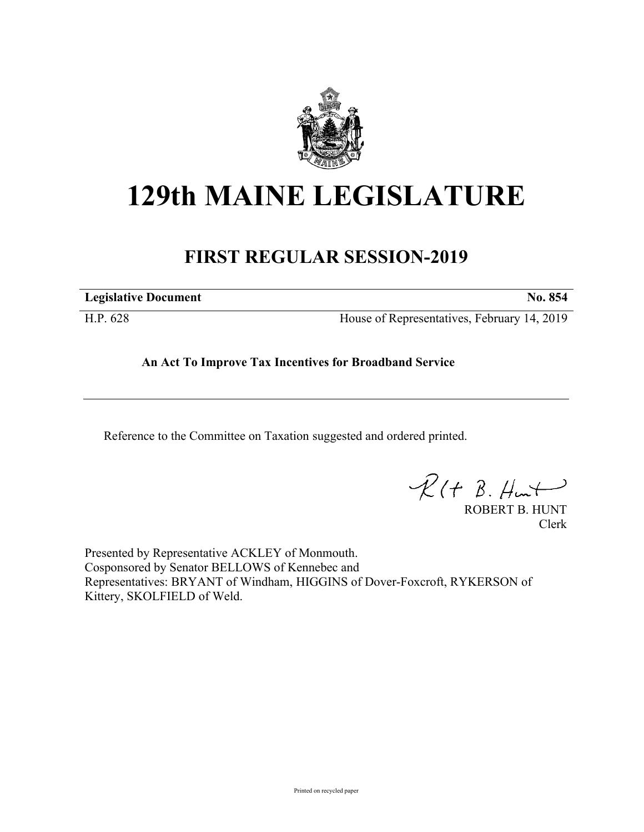

## **129th MAINE LEGISLATURE**

## **FIRST REGULAR SESSION-2019**

**Legislative Document No. 854**

H.P. 628 House of Representatives, February 14, 2019

**An Act To Improve Tax Incentives for Broadband Service**

Reference to the Committee on Taxation suggested and ordered printed.

 $\mathcal{R}(t \; \mathcal{B}, \#m)$ 

ROBERT B. HUNT Clerk

Presented by Representative ACKLEY of Monmouth. Cosponsored by Senator BELLOWS of Kennebec and Representatives: BRYANT of Windham, HIGGINS of Dover-Foxcroft, RYKERSON of Kittery, SKOLFIELD of Weld.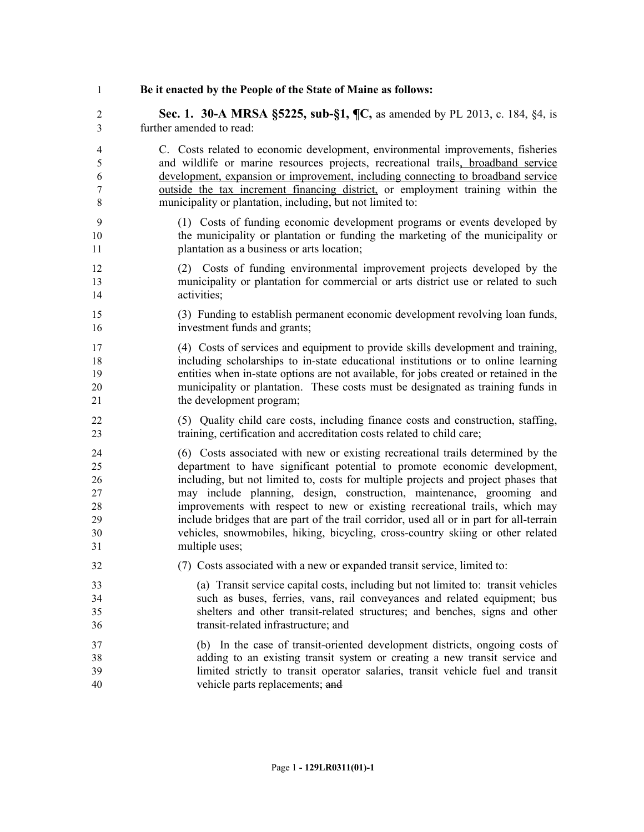## **Be it enacted by the People of the State of Maine as follows:**

 **Sec. 1. 30-A MRSA §5225, sub-§1, ¶C,** as amended by PL 2013, c. 184, §4, is further amended to read:

 C. Costs related to economic development, environmental improvements, fisheries and wildlife or marine resources projects, recreational trails, broadband service development, expansion or improvement, including connecting to broadband service outside the tax increment financing district, or employment training within the municipality or plantation, including, but not limited to:

- (1) Costs of funding economic development programs or events developed by the municipality or plantation or funding the marketing of the municipality or plantation as a business or arts location;
- (2) Costs of funding environmental improvement projects developed by the municipality or plantation for commercial or arts district use or related to such activities;
- (3) Funding to establish permanent economic development revolving loan funds, investment funds and grants;

 (4) Costs of services and equipment to provide skills development and training, including scholarships to in-state educational institutions or to online learning entities when in-state options are not available, for jobs created or retained in the municipality or plantation. These costs must be designated as training funds in 21 the development program;

 (5) Quality child care costs, including finance costs and construction, staffing, training, certification and accreditation costs related to child care;

 (6) Costs associated with new or existing recreational trails determined by the department to have significant potential to promote economic development, including, but not limited to, costs for multiple projects and project phases that may include planning, design, construction, maintenance, grooming and improvements with respect to new or existing recreational trails, which may include bridges that are part of the trail corridor, used all or in part for all-terrain vehicles, snowmobiles, hiking, bicycling, cross-country skiing or other related multiple uses;

- (7) Costs associated with a new or expanded transit service, limited to:
- (a) Transit service capital costs, including but not limited to: transit vehicles such as buses, ferries, vans, rail conveyances and related equipment; bus shelters and other transit-related structures; and benches, signs and other transit-related infrastructure; and
- (b) In the case of transit-oriented development districts, ongoing costs of adding to an existing transit system or creating a new transit service and limited strictly to transit operator salaries, transit vehicle fuel and transit vehicle parts replacements; and